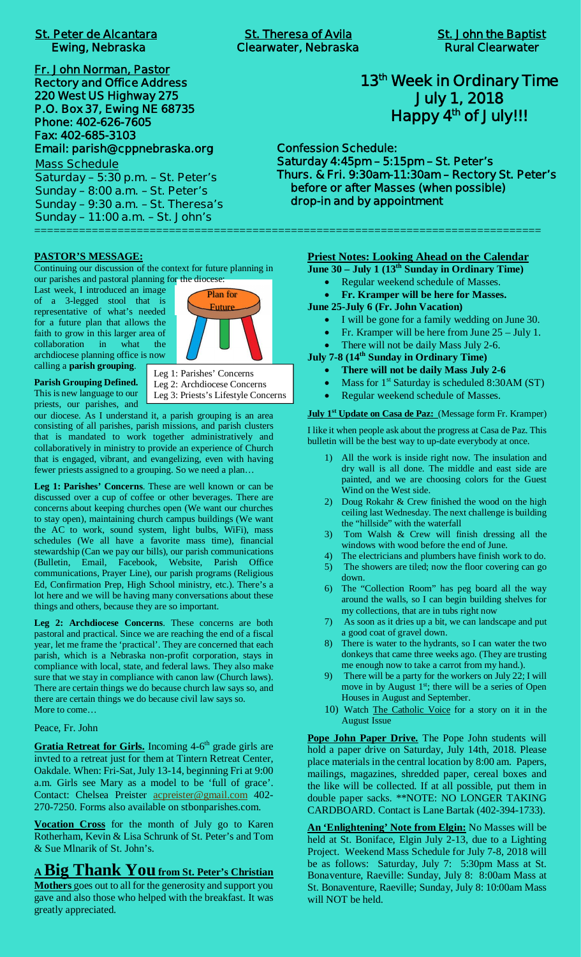**Fr. John Norman, Pastor Rectory and Office Address 220 West US Highway 275 P.O. Box 37, Ewing NE 68735 Phone: 402-626-7605 Fax: 402-685-3103 Email: parish@cppnebraska.org**

**Mass Schedule Saturday – 5:30 p.m. – St. Peter's Sunday – 8:00 a.m. – St. Peter's Sunday – 9:30 a.m. – St. Theresa's Sunday – 11:00 a.m. – St. John's** ===============================================================================

# **13th Week in Ordinary Time July 1, 2018 Happy 4th of July!!!**

**Confession Schedule: Saturday 4:45pm – 5:15pm – St. Peter's Thurs. & Fri. 9:30am-11:30am – Rectory St. Peter's before or after Masses (when possible) drop-in and by appointment**

## **PASTOR'S MESSAGE:**

Continuing our discussion of the context for future planning in our parishes and pastoral planning for the diocese:

Last week, I introduced an image of a 3-legged stool that is representative of what's needed for a future plan that allows the faith to grow in this larger area of collaboration in what the archdiocese planning office is now calling a **parish grouping**.



**Parish Grouping Defined.** This is new language to our priests, our parishes, and Leg 1: Parishes' Concerns Leg 2: Archdiocese Concerns

Leg 3: Priests's Lifestyle Concerns

our diocese. As I understand it, a parish grouping is an area consisting of all parishes, parish missions, and parish clusters that is mandated to work together administratively and collaboratively in ministry to provide an experience of Church that is engaged, vibrant, and evangelizing, even with having fewer priests assigned to a grouping. So we need a plan…

**Leg 1: Parishes' Concerns**. These are well known or can be discussed over a cup of coffee or other beverages. There are concerns about keeping churches open (We want our churches to stay open), maintaining church campus buildings (We want the AC to work, sound system, light bulbs, WiFi), mass schedules (We all have a favorite mass time), financial stewardship (Can we pay our bills), our parish communications (Bulletin, Email, Facebook, Website, Parish Office communications, Prayer Line), our parish programs (Religious Ed, Confirmation Prep, High School ministry, etc.). There's a lot here and we will be having many conversations about these things and others, because they are so important.

**Leg 2: Archdiocese Concerns**. These concerns are both pastoral and practical. Since we are reaching the end of a fiscal year, let me frame the 'practical'. They are concerned that each parish, which is a Nebraska non-profit corporation, stays in compliance with local, state, and federal laws. They also make sure that we stay in compliance with canon law (Church laws). There are certain things we do because church law says so, and there are certain things we do because civil law says so. More to come…

## Peace, Fr. John

Gratia Retreat for Girls. Incoming 4-6<sup>th</sup> grade girls are invted to a retreat just for them at Tintern Retreat Center, Oakdale. When: Fri-Sat, July 13-14, beginning Fri at 9:00 a.m. Girls see Mary as a model to be 'full of grace'. Contact: Chelsea Preister acpreister@gmail.com 402- 270-7250. Forms also available on stbonparishes.com.

**Vocation Cross** for the month of July go to Karen Rotherham, Kevin & Lisa Schrunk of St. Peter's and Tom & Sue Mlnarik of St. John's.

# **<sup>A</sup> Big Thank Youfrom St. Peter's Christian**

**Mothers** goes out to all for the generosity and support you gave and also those who helped with the breakfast. It was greatly appreciated.

# **Priest Notes: Looking Ahead on the Calendar**

**June 30 – July 1 (13th Sunday in Ordinary Time)**

- Regular weekend schedule of Masses.
- · **Fr. Kramper will be here for Masses.**
- **June 25-July 6 (Fr. John Vacation)**
	- · I will be gone for a family wedding on June 30.
	- Fr. Kramper will be here from June  $25 -$  July 1.
	- There will not be daily Mass July 2-6.
- **July 7-8 (14th Sunday in Ordinary Time)**
	- · **There will not be daily Mass July 2-6**
	- Mass for  $1^{st}$  Saturday is scheduled 8:30AM (ST)
	- Regular weekend schedule of Masses.

**July 1st Update on Casa de Paz:** (Message form Fr. Kramper)

I like it when people ask about the progress at Casa de Paz. This bulletin will be the best way to up-date everybody at once.

- 1) All the work is inside right now. The insulation and dry wall is all done. The middle and east side are painted, and we are choosing colors for the Guest Wind on the West side.
- 2) Doug Rokahr & Crew finished the wood on the high ceiling last Wednesday. The next challenge is building the "hillside" with the waterfall
- 3) Tom Walsh & Crew will finish dressing all the windows with wood before the end of June.
- 4) The electricians and plumbers have finish work to do.
- 5) The showers are tiled; now the floor covering can go down.
- 6) The "Collection Room" has peg board all the way around the walls, so I can begin building shelves for my collections, that are in tubs right now
- 7) As soon as it dries up a bit, we can landscape and put a good coat of gravel down.
- 8) There is water to the hydrants, so I can water the two donkeys that came three weeks ago. (They are trusting me enough now to take a carrot from my hand.).
- 9) There will be a party for the workers on July 22; I will move in by August  $1<sup>st</sup>$ ; there will be a series of Open Houses in August and September.
- 10) Watch The Catholic Voice for a story on it in the August Issue

**Pope John Paper Drive.** The Pope John students will hold a paper drive on Saturday, July 14th, 2018. Please place materials in the central location by 8:00 am. Papers, mailings, magazines, shredded paper, cereal boxes and the like will be collected. If at all possible, put them in double paper sacks. \*\*NOTE: NO LONGER TAKING CARDBOARD. Contact is Lane Bartak (402-394-1733).

**An 'Enlightening' Note from Elgin:** No Masses will be held at St. Boniface, Elgin July 2-13, due to a Lighting Project. Weekend Mass Schedule for July 7-8, 2018 will be as follows: Saturday, July 7: 5:30pm Mass at St. Bonaventure, Raeville: Sunday, July 8: 8:00am Mass at St. Bonaventure, Raeville; Sunday, July 8: 10:00am Mass will NOT be held.